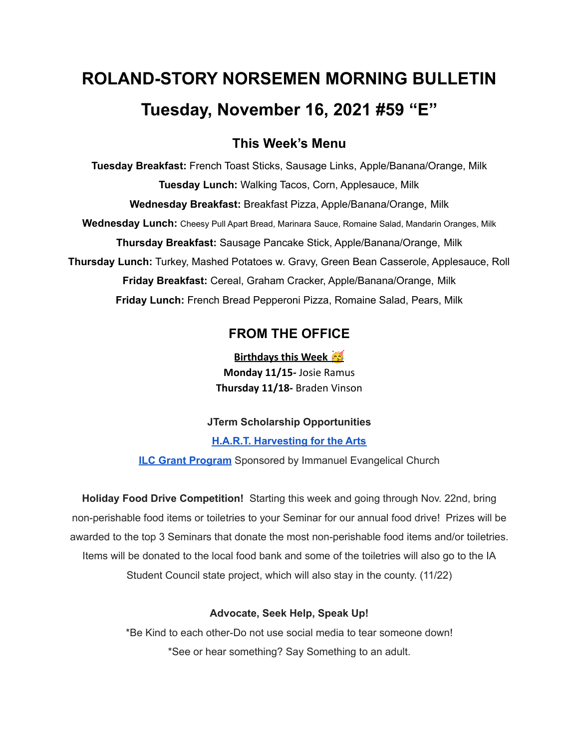# **ROLAND-STORY NORSEMEN MORNING BULLETIN Tuesday, November 16, 2021 #59 "E"**

## **This Week's Menu**

**Tuesday Breakfast:** French Toast Sticks, Sausage Links, Apple/Banana/Orange, Milk **Tuesday Lunch:** Walking Tacos, Corn, Applesauce, Milk **Wednesday Breakfast:** Breakfast Pizza, Apple/Banana/Orange, Milk **Wednesday Lunch:** Cheesy Pull Apart Bread, Marinara Sauce, Romaine Salad, Mandarin Oranges, Milk **Thursday Breakfast:** Sausage Pancake Stick, Apple/Banana/Orange, Milk **Thursday Lunch:** Turkey, Mashed Potatoes w. Gravy, Green Bean Casserole, Applesauce, Roll **Friday Breakfast:** Cereal, Graham Cracker, Apple/Banana/Orange, Milk **Friday Lunch:** French Bread Pepperoni Pizza, Romaine Salad, Pears, Milk

## **FROM THE OFFICE**

**Birthdays this Week Monday 11/15-** Josie Ramus **Thursday 11/18-** Braden Vinson

### **JTerm Scholarship Opportunities**

**H.A.R.T. [Harvesting](https://drive.google.com/file/d/11g4-lZB5o7SgG3y5R4Ux7ycNKvq857Rx/view?usp=sharing) for the Arts**

**ILC Grant [Program](https://docs.google.com/document/d/1b9DHMpZaVSj48gvRrAlQ3TA3HICpz-mx/edit?usp=sharing&ouid=114282091537110464265&rtpof=true&sd=true)** Sponsored by Immanuel Evangelical Church

**Holiday Food Drive Competition!** Starting this week and going through Nov. 22nd, bring non-perishable food items or toiletries to your Seminar for our annual food drive! Prizes will be awarded to the top 3 Seminars that donate the most non-perishable food items and/or toiletries. Items will be donated to the local food bank and some of the toiletries will also go to the IA Student Council state project, which will also stay in the county. (11/22)

#### **Advocate, Seek Help, Speak Up!**

\*Be Kind to each other-Do not use social media to tear someone down! \*See or hear something? Say Something to an adult.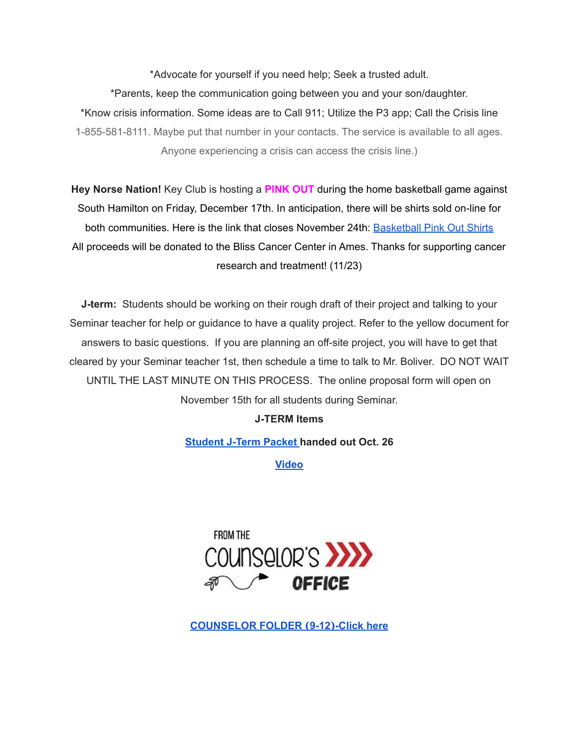\*Advocate for yourself if you need help; Seek a trusted adult. \*Parents, keep the communication going between you and your son/daughter. \*Know crisis information. Some ideas are to Call 911; Utilize the P3 app; Call the Crisis line 1-855-581-8111. Maybe put that number in your contacts. The service is available to all ages. Anyone experiencing a crisis can access the crisis line.)

**Hey Norse Nation!** Key Club is hosting a **PINK OUT** during the home basketball game against South Hamilton on Friday, December 17th. In anticipation, there will be shirts sold on-line for both communities. Here is the link that closes November 24th: [Basketball](https://rsshcvc21.itemorder.com/shop/sale/?saleCode=VJQ3K) Pink Out Shirts All proceeds will be donated to the Bliss Cancer Center in Ames. Thanks for supporting cancer research and treatment! (11/23)

**J-term:** Students should be working on their rough draft of their project and talking to your Seminar teacher for help or guidance to have a quality project. Refer to the yellow document for answers to basic questions. If you are planning an off-site project, you will have to get that cleared by your Seminar teacher 1st, then schedule a time to talk to Mr. Boliver. DO NOT WAIT UNTIL THE LAST MINUTE ON THIS PROCESS. The online proposal form will open on November 15th for all students during Seminar.

#### **J-TERM Items**

**[Student](https://drive.google.com/file/d/1h6QugcDvlDevR3f9EywbUQrqVqyCPD5n/view?usp=sharing) J-Term Packet handed out Oct. 26**

**[Video](https://drive.google.com/file/d/1-IjAQRz891m66mXs_V_s9qC8_1HN0Jw_/view?usp=sharing)**



**[COUNSELOR](https://docs.google.com/document/d/1vmwczNPbDzXe9vFaG5LJMQ7NYDv-i4oQJHybqA65TUc/edit?usp=sharing) FOLDER (9-12)-Click here**